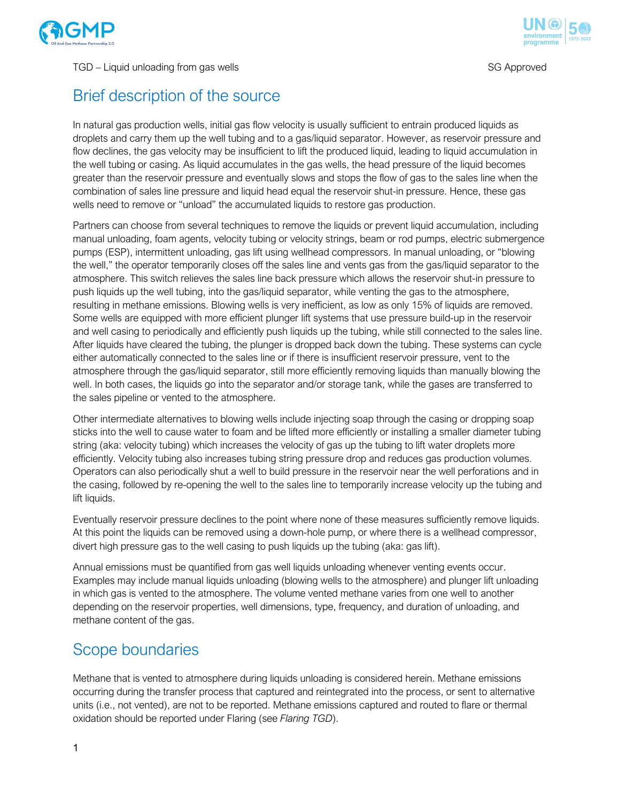

#### TGD – Liquid unloading from gas wells SG Approved and the state of the SG Approved



## Brief description of the source

In natural gas production wells, initial gas flow velocity is usually sufficient to entrain produced liquids as droplets and carry them up the well tubing and to a gas/liquid separator. However, as reservoir pressure and flow declines, the gas velocity may be insufficient to lift the produced liquid, leading to liquid accumulation in the well tubing or casing. As liquid accumulates in the gas wells, the head pressure of the liquid becomes greater than the reservoir pressure and eventually slows and stops the flow of gas to the sales line when the combination of sales line pressure and liquid head equal the reservoir shut-in pressure. Hence, these gas wells need to remove or "unload" the accumulated liquids to restore gas production.

Partners can choose from several techniques to remove the liquids or prevent liquid accumulation, including manual unloading, foam agents, velocity tubing or velocity strings, beam or rod pumps, electric submergence pumps (ESP), intermittent unloading, gas lift using wellhead compressors. In manual unloading, or "blowing the well," the operator temporarily closes off the sales line and vents gas from the gas/liquid separator to the atmosphere. This switch relieves the sales line back pressure which allows the reservoir shut-in pressure to push liquids up the well tubing, into the gas/liquid separator, while venting the gas to the atmosphere, resulting in methane emissions. Blowing wells is very inefficient, as low as only 15% of liquids are removed. Some wells are equipped with more efficient plunger lift systems that use pressure build-up in the reservoir and well casing to periodically and efficiently push liquids up the tubing, while still connected to the sales line. After liquids have cleared the tubing, the plunger is dropped back down the tubing. These systems can cycle either automatically connected to the sales line or if there is insufficient reservoir pressure, vent to the atmosphere through the gas/liquid separator, still more efficiently removing liquids than manually blowing the well. In both cases, the liquids go into the separator and/or storage tank, while the gases are transferred to the sales pipeline or vented to the atmosphere.

Other intermediate alternatives to blowing wells include injecting soap through the casing or dropping soap sticks into the well to cause water to foam and be lifted more efficiently or installing a smaller diameter tubing string (aka: velocity tubing) which increases the velocity of gas up the tubing to lift water droplets more efficiently. Velocity tubing also increases tubing string pressure drop and reduces gas production volumes. Operators can also periodically shut a well to build pressure in the reservoir near the well perforations and in the casing, followed by re-opening the well to the sales line to temporarily increase velocity up the tubing and lift liquids.

Eventually reservoir pressure declines to the point where none of these measures sufficiently remove liquids. At this point the liquids can be removed using a down-hole pump, or where there is a wellhead compressor, divert high pressure gas to the well casing to push liquids up the tubing (aka: gas lift).

Annual emissions must be quantified from gas well liquids unloading whenever venting events occur. Examples may include manual liquids unloading (blowing wells to the atmosphere) and plunger lift unloading in which gas is vented to the atmosphere. The volume vented methane varies from one well to another depending on the reservoir properties, well dimensions, type, frequency, and duration of unloading, and methane content of the gas.

## Scope boundaries

Methane that is vented to atmosphere during liquids unloading is considered herein. Methane emissions occurring during the transfer process that captured and reintegrated into the process, or sent to alternative units (i.e., not vented), are not to be reported. Methane emissions captured and routed to flare or thermal oxidation should be reported under Flaring (see *Flaring TGD*).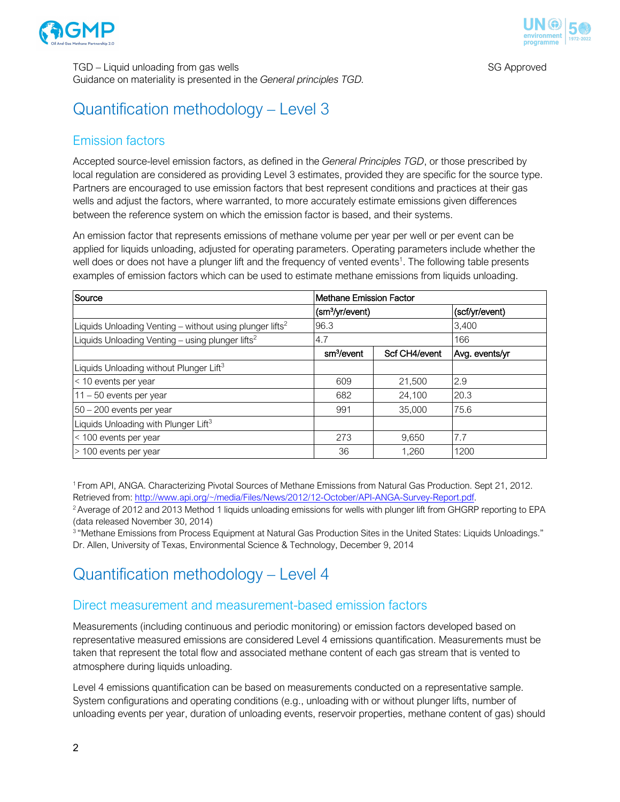



TGD – Liquid unloading from gas wells SG Approved and the state of the SG Approved Guidance on materiality is presented in the *General principles TGD.*

# Quantification methodology – Level 3

### Emission factors

Accepted source-level emission factors, as defined in the *General Principles TGD*, or those prescribed by local regulation are considered as providing Level 3 estimates, provided they are specific for the source type. Partners are encouraged to use emission factors that best represent conditions and practices at their gas wells and adjust the factors, where warranted, to more accurately estimate emissions given differences between the reference system on which the emission factor is based, and their systems.

An emission factor that represents emissions of methane volume per year per well or per event can be applied for liquids unloading, adjusted for operating parameters. Operating parameters include whether the well does or does not have a plunger lift and the frequency of vented events<sup>1</sup>. The following table presents examples of emission factors which can be used to estimate methane emissions from liquids unloading.

| Source                                                               | Methane Emission Factor     |               |                |
|----------------------------------------------------------------------|-----------------------------|---------------|----------------|
|                                                                      | (sm <sup>3</sup> /yr/event) |               | (scf/yr/event) |
| Liquids Unloading Venting - without using plunger lifts <sup>2</sup> | 96.3                        |               | 3,400          |
| Liquids Unloading Venting - using plunger lifts <sup>2</sup>         | 4.7                         |               | 166            |
|                                                                      | sm <sup>3</sup> /event      | Scf CH4/event | Avg. events/yr |
| Liquids Unloading without Plunger Lift <sup>3</sup>                  |                             |               |                |
| < 10 events per year                                                 | 609                         | 21,500        | 2.9            |
| $11 - 50$ events per year                                            | 682                         | 24,100        | 20.3           |
| $50 - 200$ events per year                                           | 991                         | 35,000        | 75.6           |
| Liquids Unloading with Plunger Lift <sup>3</sup>                     |                             |               |                |
| < 100 events per year                                                | 273                         | 9,650         | 7.7            |
| > 100 events per year                                                | 36                          | 1.260         | 1200           |

1 From API, ANGA. Characterizing Pivotal Sources of Methane Emissions from Natural Gas Production. Sept 21, 2012. Retrieved from: http://www.api.org/~/media/Files/News/2012/12-October/API-ANGA-Survey-Report.pdf.

<sup>2</sup> Average of 2012 and 2013 Method 1 liquids unloading emissions for wells with plunger lift from GHGRP reporting to EPA (data released November 30, 2014)

<sup>3</sup> "Methane Emissions from Process Equipment at Natural Gas Production Sites in the United States: Liquids Unloadings." Dr. Allen, University of Texas, Environmental Science & Technology, December 9, 2014

# Quantification methodology – Level 4

### Direct measurement and measurement-based emission factors

Measurements (including continuous and periodic monitoring) or emission factors developed based on representative measured emissions are considered Level 4 emissions quantification. Measurements must be taken that represent the total flow and associated methane content of each gas stream that is vented to atmosphere during liquids unloading.

Level 4 emissions quantification can be based on measurements conducted on a representative sample. System configurations and operating conditions (e.g., unloading with or without plunger lifts, number of unloading events per year, duration of unloading events, reservoir properties, methane content of gas) should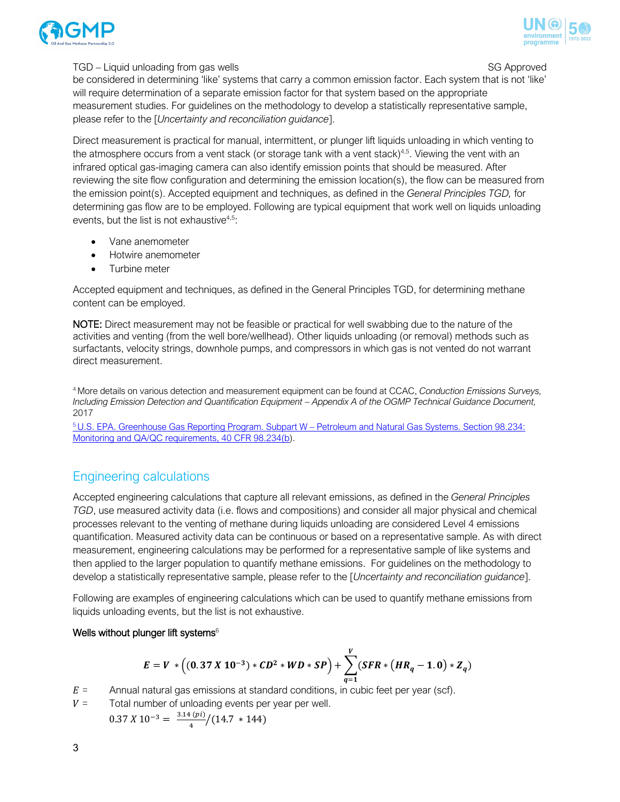



#### TGD – Liquid unloading from gas wells SG Approved and the state of the SG Approved

be considered in determining 'like' systems that carry a common emission factor. Each system that is not 'like' will require determination of a separate emission factor for that system based on the appropriate measurement studies. For guidelines on the methodology to develop a statistically representative sample, please refer to the [*Uncertainty and reconciliation guidance*].

Direct measurement is practical for manual, intermittent, or plunger lift liquids unloading in which venting to the atmosphere occurs from a vent stack (or storage tank with a vent stack) $4.5$ . Viewing the vent with an infrared optical gas-imaging camera can also identify emission points that should be measured. After reviewing the site flow configuration and determining the emission location(s), the flow can be measured from the emission point(s). Accepted equipment and techniques, as defined in the *General Principles TGD,* for determining gas flow are to be employed. Following are typical equipment that work well on liquids unloading events, but the list is not exhaustive $4.5$ :

- Vane anemometer
- Hotwire anemometer
- Turbine meter

Accepted equipment and techniques, as defined in the General Principles TGD, for determining methane content can be employed.

NOTE: Direct measurement may not be feasible or practical for well swabbing due to the nature of the activities and venting (from the well bore/wellhead). Other liquids unloading (or removal) methods such as surfactants, velocity strings, downhole pumps, and compressors in which gas is not vented do not warrant direct measurement.

4 More details on various detection and measurement equipment can be found at CCAC, *Conduction Emissions Surveys, Including Emission Detection and Quantification Equipment – Appendix A of the OGMP Technical Guidance Document,*  2017

5 U.S. EPA. Greenhouse Gas Reporting Program. Subpart W – Petroleum and Natural Gas Systems. Section 98.234: Monitoring and QA/QC requirements, 40 CFR 98.234(b).

### Engineering calculations

Accepted engineering calculations that capture all relevant emissions, as defined in the *General Principles TGD*, use measured activity data (i.e. flows and compositions) and consider all major physical and chemical processes relevant to the venting of methane during liquids unloading are considered Level 4 emissions quantification. Measured activity data can be continuous or based on a representative sample. As with direct measurement, engineering calculations may be performed for a representative sample of like systems and then applied to the larger population to quantify methane emissions. For guidelines on the methodology to develop a statistically representative sample, please refer to the [*Uncertainty and reconciliation guidance*].

Following are examples of engineering calculations which can be used to quantify methane emissions from liquids unloading events, but the list is not exhaustive.

### Wells without plunger lift systems $6$

$$
E = V * \left( (0.37 \, X \, 10^{-3}) * CD^2 * WD * SP \right) + \sum_{q=1}^{V} (SFR * (HR_q - 1.0) * Z_q)
$$

- $E =$  Annual natural gas emissions at standard conditions, in cubic feet per year (scf).
- $V =$  Total number of unloading events per year per well.

 $0.37 X 10^{-3} = \frac{3.14 (pi)}{4} / (14.7 * 144)$